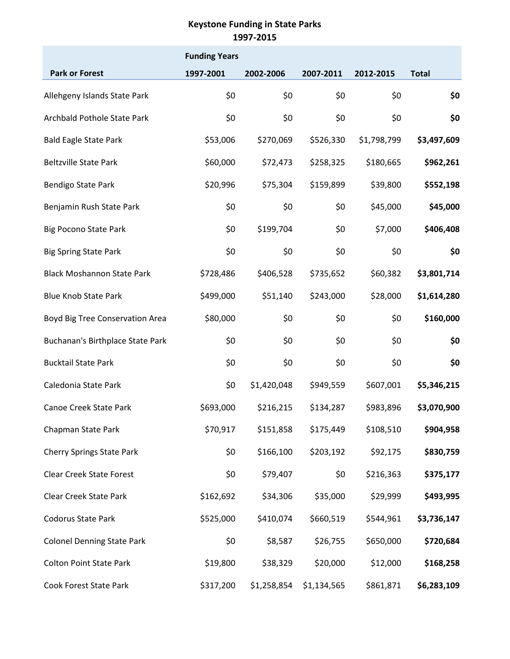|                                   | <b>Funding Years</b> |             |             |             |              |
|-----------------------------------|----------------------|-------------|-------------|-------------|--------------|
| <b>Park or Forest</b>             | 1997-2001            | 2002-2006   | 2007-2011   | 2012-2015   | <b>Total</b> |
| Allehgeny Islands State Park      | \$0                  | \$0         | \$0         | \$0         | \$0          |
| Archbald Pothole State Park       | \$0                  | \$0         | \$0         | \$0         | \$0          |
| <b>Bald Eagle State Park</b>      | \$53,006             | \$270,069   | \$526,330   | \$1,798,799 | \$3,497,609  |
| <b>Beltzville State Park</b>      | \$60,000             | \$72,473    | \$258,325   | \$180,665   | \$962,261    |
| Bendigo State Park                | \$20,996             | \$75,304    | \$159,899   | \$39,800    | \$552,198    |
| Benjamin Rush State Park          | \$0                  | \$0         | \$0         | \$45,000    | \$45,000     |
| <b>Big Pocono State Park</b>      | \$0                  | \$199,704   | \$0         | \$7,000     | \$406,408    |
| <b>Big Spring State Park</b>      | \$0                  | \$0         | \$0         | \$0         | \$0          |
| <b>Black Moshannon State Park</b> | \$728,486            | \$406,528   | \$735,652   | \$60,382    | \$3,801,714  |
| <b>Blue Knob State Park</b>       | \$499,000            | \$51,140    | \$243,000   | \$28,000    | \$1,614,280  |
| Boyd Big Tree Conservation Area   | \$80,000             | \$0         | \$0         | \$0         | \$160,000    |
| Buchanan's Birthplace State Park  | \$0                  | \$0         | \$0         | \$0         | \$0          |
| <b>Bucktail State Park</b>        | \$0                  | \$0         | \$0         | \$0         | \$0          |
| Caledonia State Park              | \$0                  | \$1,420,048 | \$949,559   | \$607,001   | \$5,346,215  |
| <b>Canoe Creek State Park</b>     | \$693,000            | \$216,215   | \$134,287   | \$983,896   | \$3,070,900  |
| Chapman State Park                | \$70,917             | \$151,858   | \$175,449   | \$108,510   | \$904,958    |
| <b>Cherry Springs State Park</b>  | \$0                  | \$166,100   | \$203,192   | \$92,175    | \$830,759    |
| <b>Clear Creek State Forest</b>   | \$0                  | \$79,407    | \$0         | \$216,363   | \$375,177    |
| <b>Clear Creek State Park</b>     | \$162,692            | \$34,306    | \$35,000    | \$29,999    | \$493,995    |
| Codorus State Park                | \$525,000            | \$410,074   | \$660,519   | \$544,961   | \$3,736,147  |
| <b>Colonel Denning State Park</b> | \$0                  | \$8,587     | \$26,755    | \$650,000   | \$720,684    |
| <b>Colton Point State Park</b>    | \$19,800             | \$38,329    | \$20,000    | \$12,000    | \$168,258    |
| Cook Forest State Park            | \$317,200            | \$1,258,854 | \$1,134,565 | \$861,871   | \$6,283,109  |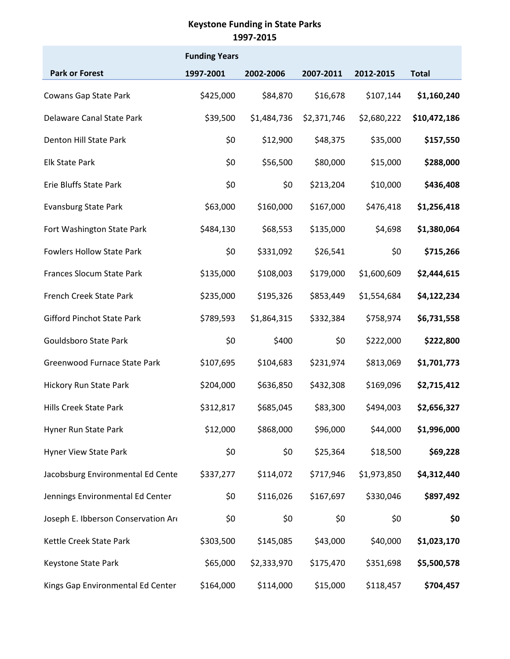|                                     | <b>Funding Years</b> |             |             |             |              |
|-------------------------------------|----------------------|-------------|-------------|-------------|--------------|
| <b>Park or Forest</b>               | 1997-2001            | 2002-2006   | 2007-2011   | 2012-2015   | <b>Total</b> |
| Cowans Gap State Park               | \$425,000            | \$84,870    | \$16,678    | \$107,144   | \$1,160,240  |
| Delaware Canal State Park           | \$39,500             | \$1,484,736 | \$2,371,746 | \$2,680,222 | \$10,472,186 |
| Denton Hill State Park              | \$0                  | \$12,900    | \$48,375    | \$35,000    | \$157,550    |
| <b>Elk State Park</b>               | \$0                  | \$56,500    | \$80,000    | \$15,000    | \$288,000    |
| Erie Bluffs State Park              | \$0                  | \$0         | \$213,204   | \$10,000    | \$436,408    |
| <b>Evansburg State Park</b>         | \$63,000             | \$160,000   | \$167,000   | \$476,418   | \$1,256,418  |
| Fort Washington State Park          | \$484,130            | \$68,553    | \$135,000   | \$4,698     | \$1,380,064  |
| <b>Fowlers Hollow State Park</b>    | \$0                  | \$331,092   | \$26,541    | \$0         | \$715,266    |
| Frances Slocum State Park           | \$135,000            | \$108,003   | \$179,000   | \$1,600,609 | \$2,444,615  |
| French Creek State Park             | \$235,000            | \$195,326   | \$853,449   | \$1,554,684 | \$4,122,234  |
| <b>Gifford Pinchot State Park</b>   | \$789,593            | \$1,864,315 | \$332,384   | \$758,974   | \$6,731,558  |
| Gouldsboro State Park               | \$0                  | \$400       | \$0         | \$222,000   | \$222,800    |
| Greenwood Furnace State Park        | \$107,695            | \$104,683   | \$231,974   | \$813,069   | \$1,701,773  |
| <b>Hickory Run State Park</b>       | \$204,000            | \$636,850   | \$432,308   | \$169,096   | \$2,715,412  |
| <b>Hills Creek State Park</b>       | \$312,817            | \$685,045   | \$83,300    | \$494,003   | \$2,656,327  |
| Hyner Run State Park                | \$12,000             | \$868,000   | \$96,000    | \$44,000    | \$1,996,000  |
| Hyner View State Park               | \$0                  | \$0         | \$25,364    | \$18,500    | \$69,228     |
| Jacobsburg Environmental Ed Cente   | \$337,277            | \$114,072   | \$717,946   | \$1,973,850 | \$4,312,440  |
| Jennings Environmental Ed Center    | \$0                  | \$116,026   | \$167,697   | \$330,046   | \$897,492    |
| Joseph E. Ibberson Conservation Ard | \$0                  | \$0         | \$0         | \$0         | \$0          |
| Kettle Creek State Park             | \$303,500            | \$145,085   | \$43,000    | \$40,000    | \$1,023,170  |
| Keystone State Park                 | \$65,000             | \$2,333,970 | \$175,470   | \$351,698   | \$5,500,578  |
| Kings Gap Environmental Ed Center   | \$164,000            | \$114,000   | \$15,000    | \$118,457   | \$704,457    |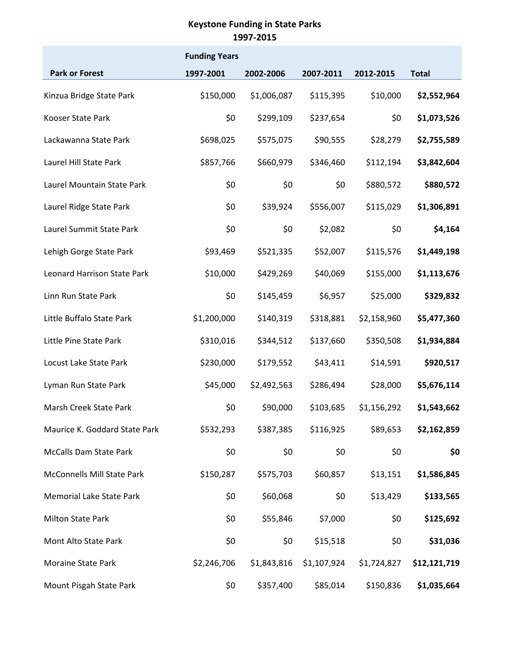|                                    | <b>Funding Years</b> |             |             |             |              |
|------------------------------------|----------------------|-------------|-------------|-------------|--------------|
| <b>Park or Forest</b>              | 1997-2001            | 2002-2006   | 2007-2011   | 2012-2015   | <b>Total</b> |
| Kinzua Bridge State Park           | \$150,000            | \$1,006,087 | \$115,395   | \$10,000    | \$2,552,964  |
| Kooser State Park                  | \$0                  | \$299,109   | \$237,654   | \$0         | \$1,073,526  |
| Lackawanna State Park              | \$698,025            | \$575,075   | \$90,555    | \$28,279    | \$2,755,589  |
| Laurel Hill State Park             | \$857,766            | \$660,979   | \$346,460   | \$112,194   | \$3,842,604  |
| Laurel Mountain State Park         | \$0                  | \$0         | \$0         | \$880,572   | \$880,572    |
| Laurel Ridge State Park            | \$0                  | \$39,924    | \$556,007   | \$115,029   | \$1,306,891  |
| Laurel Summit State Park           | \$0                  | \$0         | \$2,082     | \$0         | \$4,164      |
| Lehigh Gorge State Park            | \$93,469             | \$521,335   | \$52,007    | \$115,576   | \$1,449,198  |
| <b>Leonard Harrison State Park</b> | \$10,000             | \$429,269   | \$40,069    | \$155,000   | \$1,113,676  |
| Linn Run State Park                | \$0                  | \$145,459   | \$6,957     | \$25,000    | \$329,832    |
| Little Buffalo State Park          | \$1,200,000          | \$140,319   | \$318,881   | \$2,158,960 | \$5,477,360  |
| Little Pine State Park             | \$310,016            | \$344,512   | \$137,660   | \$350,508   | \$1,934,884  |
| Locust Lake State Park             | \$230,000            | \$179,552   | \$43,411    | \$14,591    | \$920,517    |
| Lyman Run State Park               | \$45,000             | \$2,492,563 | \$286,494   | \$28,000    | \$5,676,114  |
| Marsh Creek State Park             | \$0                  | \$90,000    | \$103,685   | \$1,156,292 | \$1,543,662  |
| Maurice K. Goddard State Park      | \$532,293            | \$387,385   | \$116,925   | \$89,653    | \$2,162,859  |
| <b>McCalls Dam State Park</b>      | \$0                  | \$0         | \$0         | \$0         | \$0          |
| McConnells Mill State Park         | \$150,287            | \$575,703   | \$60,857    | \$13,151    | \$1,586,845  |
| <b>Memorial Lake State Park</b>    | \$0                  | \$60,068    | \$0         | \$13,429    | \$133,565    |
| <b>Milton State Park</b>           | \$0                  | \$55,846    | \$7,000     | \$0         | \$125,692    |
| Mont Alto State Park               | \$0                  | \$0         | \$15,518    | \$0         | \$31,036     |
| Moraine State Park                 | \$2,246,706          | \$1,843,816 | \$1,107,924 | \$1,724,827 | \$12,121,719 |
| Mount Pisgah State Park            | \$0                  | \$357,400   | \$85,014    | \$150,836   | \$1,035,664  |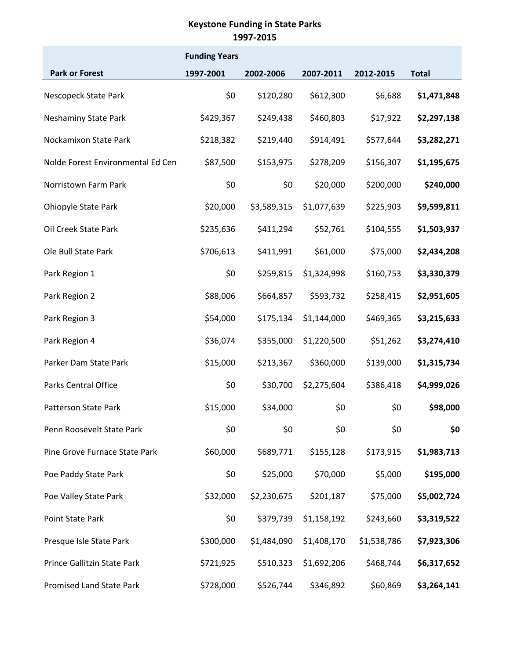|                                   | <b>Funding Years</b> |             |             |             |              |
|-----------------------------------|----------------------|-------------|-------------|-------------|--------------|
| <b>Park or Forest</b>             | 1997-2001            | 2002-2006   | 2007-2011   | 2012-2015   | <b>Total</b> |
| Nescopeck State Park              | \$0                  | \$120,280   | \$612,300   | \$6,688     | \$1,471,848  |
| Neshaminy State Park              | \$429,367            | \$249,438   | \$460,803   | \$17,922    | \$2,297,138  |
| Nockamixon State Park             | \$218,382            | \$219,440   | \$914,491   | \$577,644   | \$3,282,271  |
| Nolde Forest Environmental Ed Cen | \$87,500             | \$153,975   | \$278,209   | \$156,307   | \$1,195,675  |
| Norristown Farm Park              | \$0                  | \$0         | \$20,000    | \$200,000   | \$240,000    |
| <b>Ohiopyle State Park</b>        | \$20,000             | \$3,589,315 | \$1,077,639 | \$225,903   | \$9,599,811  |
| Oil Creek State Park              | \$235,636            | \$411,294   | \$52,761    | \$104,555   | \$1,503,937  |
| Ole Bull State Park               | \$706,613            | \$411,991   | \$61,000    | \$75,000    | \$2,434,208  |
| Park Region 1                     | \$0                  | \$259,815   | \$1,324,998 | \$160,753   | \$3,330,379  |
| Park Region 2                     | \$88,006             | \$664,857   | \$593,732   | \$258,415   | \$2,951,605  |
| Park Region 3                     | \$54,000             | \$175,134   | \$1,144,000 | \$469,365   | \$3,215,633  |
| Park Region 4                     | \$36,074             | \$355,000   | \$1,220,500 | \$51,262    | \$3,274,410  |
| Parker Dam State Park             | \$15,000             | \$213,367   | \$360,000   | \$139,000   | \$1,315,734  |
| Parks Central Office              | \$0                  | \$30,700    | \$2,275,604 | \$386,418   | \$4,999,026  |
| <b>Patterson State Park</b>       | \$15,000             | \$34,000    | \$0         | \$0         | \$98,000     |
| Penn Roosevelt State Park         | \$0                  | \$0         | \$0         | \$0         | \$0          |
| Pine Grove Furnace State Park     | \$60,000             | \$689,771   | \$155,128   | \$173,915   | \$1,983,713  |
| Poe Paddy State Park              | \$0                  | \$25,000    | \$70,000    | \$5,000     | \$195,000    |
| Poe Valley State Park             | \$32,000             | \$2,230,675 | \$201,187   | \$75,000    | \$5,002,724  |
| Point State Park                  | \$0                  | \$379,739   | \$1,158,192 | \$243,660   | \$3,319,522  |
| Presque Isle State Park           | \$300,000            | \$1,484,090 | \$1,408,170 | \$1,538,786 | \$7,923,306  |
| Prince Gallitzin State Park       | \$721,925            | \$510,323   | \$1,692,206 | \$468,744   | \$6,317,652  |
| <b>Promised Land State Park</b>   | \$728,000            | \$526,744   | \$346,892   | \$60,869    | \$3,264,141  |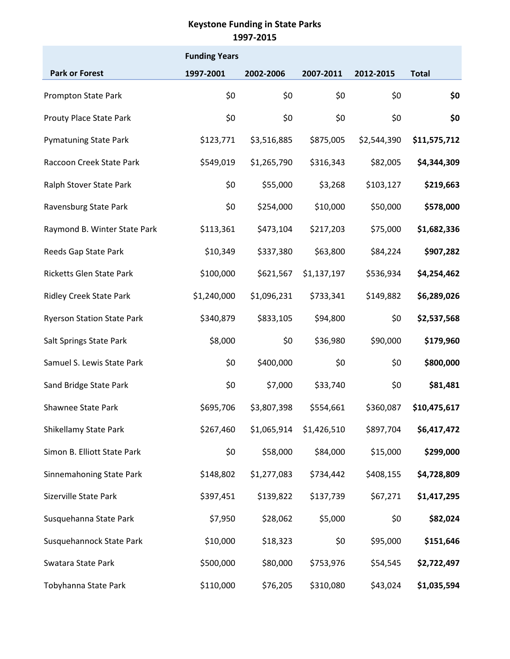|                                   | <b>Funding Years</b> |             |             |             |              |
|-----------------------------------|----------------------|-------------|-------------|-------------|--------------|
| <b>Park or Forest</b>             | 1997-2001            | 2002-2006   | 2007-2011   | 2012-2015   | <b>Total</b> |
| <b>Prompton State Park</b>        | \$0                  | \$0         | \$0         | \$0         | \$0          |
| Prouty Place State Park           | \$0                  | \$0         | \$0         | \$0         | \$0          |
| <b>Pymatuning State Park</b>      | \$123,771            | \$3,516,885 | \$875,005   | \$2,544,390 | \$11,575,712 |
| Raccoon Creek State Park          | \$549,019            | \$1,265,790 | \$316,343   | \$82,005    | \$4,344,309  |
| Ralph Stover State Park           | \$0                  | \$55,000    | \$3,268     | \$103,127   | \$219,663    |
| Ravensburg State Park             | \$0                  | \$254,000   | \$10,000    | \$50,000    | \$578,000    |
| Raymond B. Winter State Park      | \$113,361            | \$473,104   | \$217,203   | \$75,000    | \$1,682,336  |
| Reeds Gap State Park              | \$10,349             | \$337,380   | \$63,800    | \$84,224    | \$907,282    |
| Ricketts Glen State Park          | \$100,000            | \$621,567   | \$1,137,197 | \$536,934   | \$4,254,462  |
| <b>Ridley Creek State Park</b>    | \$1,240,000          | \$1,096,231 | \$733,341   | \$149,882   | \$6,289,026  |
| <b>Ryerson Station State Park</b> | \$340,879            | \$833,105   | \$94,800    | \$0         | \$2,537,568  |
| Salt Springs State Park           | \$8,000              | \$0         | \$36,980    | \$90,000    | \$179,960    |
| Samuel S. Lewis State Park        | \$0                  | \$400,000   | \$0         | \$0         | \$800,000    |
| Sand Bridge State Park            | \$0                  | \$7,000     | \$33,740    | \$0         | \$81,481     |
| <b>Shawnee State Park</b>         | \$695,706            | \$3,807,398 | \$554,661   | \$360,087   | \$10,475,617 |
| Shikellamy State Park             | \$267,460            | \$1,065,914 | \$1,426,510 | \$897,704   | \$6,417,472  |
| Simon B. Elliott State Park       | \$0                  | \$58,000    | \$84,000    | \$15,000    | \$299,000    |
| Sinnemahoning State Park          | \$148,802            | \$1,277,083 | \$734,442   | \$408,155   | \$4,728,809  |
| Sizerville State Park             | \$397,451            | \$139,822   | \$137,739   | \$67,271    | \$1,417,295  |
| Susquehanna State Park            | \$7,950              | \$28,062    | \$5,000     | \$0         | \$82,024     |
| Susquehannock State Park          | \$10,000             | \$18,323    | \$0         | \$95,000    | \$151,646    |
| Swatara State Park                | \$500,000            | \$80,000    | \$753,976   | \$54,545    | \$2,722,497  |
| Tobyhanna State Park              | \$110,000            | \$76,205    | \$310,080   | \$43,024    | \$1,035,594  |